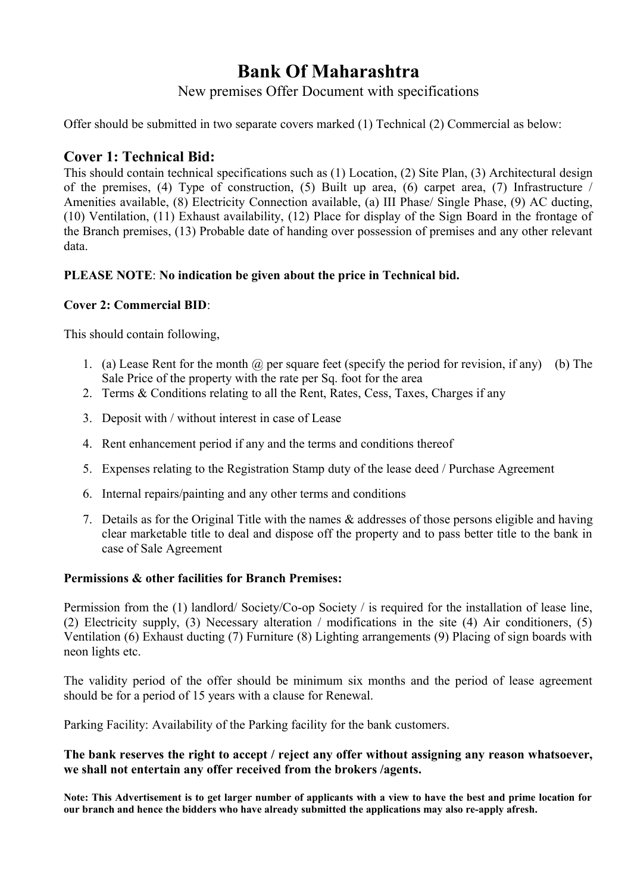# **Bank Of Maharashtra**

## New premises Offer Document with specifications

Offer should be submitted in two separate covers marked (1) Technical (2) Commercial as below:

### **Cover 1: Technical Bid:**

This should contain technical specifications such as (1) Location, (2) Site Plan, (3) Architectural design of the premises, (4) Type of construction, (5) Built up area, (6) carpet area, (7) Infrastructure / Amenities available, (8) Electricity Connection available, (a) III Phase/ Single Phase, (9) AC ducting, (10) Ventilation, (11) Exhaust availability, (12) Place for display of the Sign Board in the frontage of the Branch premises, (13) Probable date of handing over possession of premises and any other relevant data.

### **PLEASE NOTE**: **No indication be given about the price in Technical bid.**

#### **Cover 2: Commercial BID**:

This should contain following,

- 1. (a) Lease Rent for the month  $\omega$  per square feet (specify the period for revision, if any) (b) The Sale Price of the property with the rate per Sq. foot for the area
- 2. Terms & Conditions relating to all the Rent, Rates, Cess, Taxes, Charges if any
- 3. Deposit with / without interest in case of Lease
- 4. Rent enhancement period if any and the terms and conditions thereof
- 5. Expenses relating to the Registration Stamp duty of the lease deed / Purchase Agreement
- 6. Internal repairs/painting and any other terms and conditions
- 7. Details as for the Original Title with the names & addresses of those persons eligible and having clear marketable title to deal and dispose off the property and to pass better title to the bank in case of Sale Agreement

#### **Permissions & other facilities for Branch Premises:**

Permission from the (1) landlord/ Society/Co-op Society / is required for the installation of lease line, (2) Electricity supply, (3) Necessary alteration / modifications in the site (4) Air conditioners, (5) Ventilation (6) Exhaust ducting (7) Furniture (8) Lighting arrangements (9) Placing of sign boards with neon lights etc.

The validity period of the offer should be minimum six months and the period of lease agreement should be for a period of 15 years with a clause for Renewal.

Parking Facility: Availability of the Parking facility for the bank customers.

#### **The bank reserves the right to accept / reject any offer without assigning any reason whatsoever, we shall not entertain any offer received from the brokers /agents.**

**Note: This Advertisement is to get larger number of applicants with a view to have the best and prime location for our branch and hence the bidders who have already submitted the applications may also re-apply afresh.**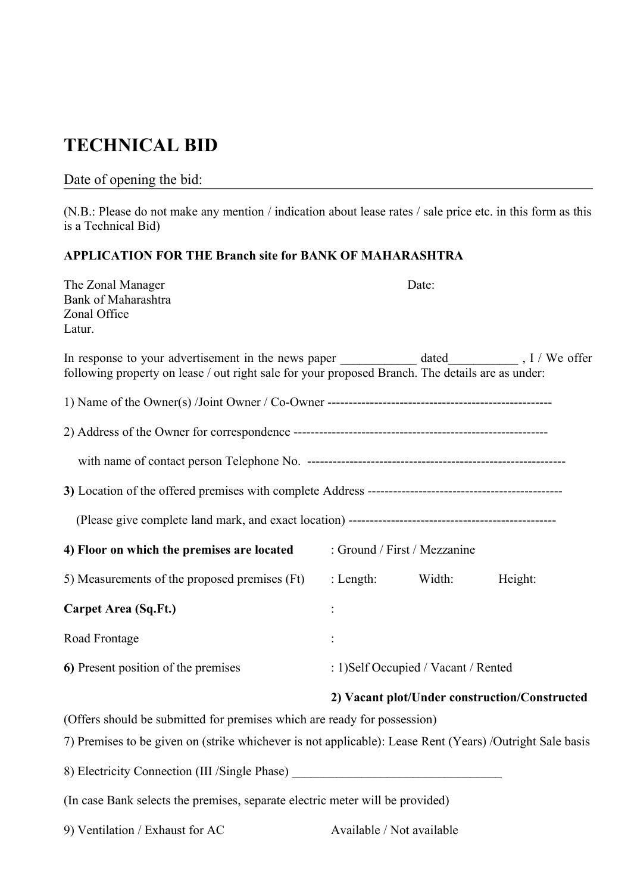# **TECHNICAL BID**

# Date of opening the bid:

(N.B.: Please do not make any mention / indication about lease rates / sale price etc. in this form as this is a Technical Bid)

## **APPLICATION FOR THE Branch site for BANK OF MAHARASHTRA**

| The Zonal Manager<br>Bank of Maharashtra<br>Zonal Office<br>Latur.                                                                                                                   |                                      | Date:                        |                                               |
|--------------------------------------------------------------------------------------------------------------------------------------------------------------------------------------|--------------------------------------|------------------------------|-----------------------------------------------|
| following property on lease / out right sale for your proposed Branch. The details are as under:                                                                                     |                                      |                              |                                               |
|                                                                                                                                                                                      |                                      |                              |                                               |
|                                                                                                                                                                                      |                                      |                              |                                               |
|                                                                                                                                                                                      |                                      |                              |                                               |
|                                                                                                                                                                                      |                                      |                              |                                               |
|                                                                                                                                                                                      |                                      |                              |                                               |
| 4) Floor on which the premises are located                                                                                                                                           |                                      | : Ground / First / Mezzanine |                                               |
| 5) Measurements of the proposed premises (Ft)                                                                                                                                        | : Length:                            | Width:                       | Height:                                       |
| <b>Carpet Area (Sq.Ft.)</b>                                                                                                                                                          |                                      |                              |                                               |
| Road Frontage                                                                                                                                                                        |                                      |                              |                                               |
| 6) Present position of the premises                                                                                                                                                  | : 1) Self Occupied / Vacant / Rented |                              |                                               |
| (Offers should be submitted for premises which are ready for possession)<br>7) Premises to be given on (strike whichever is not applicable): Lease Rent (Years) /Outright Sale basis |                                      |                              | 2) Vacant plot/Under construction/Constructed |
| 8) Electricity Connection (III /Single Phase) __________________________________                                                                                                     |                                      |                              |                                               |
| (In case Bank selects the premises, separate electric meter will be provided)                                                                                                        |                                      |                              |                                               |
| 9) Ventilation / Exhaust for AC                                                                                                                                                      | Available / Not available            |                              |                                               |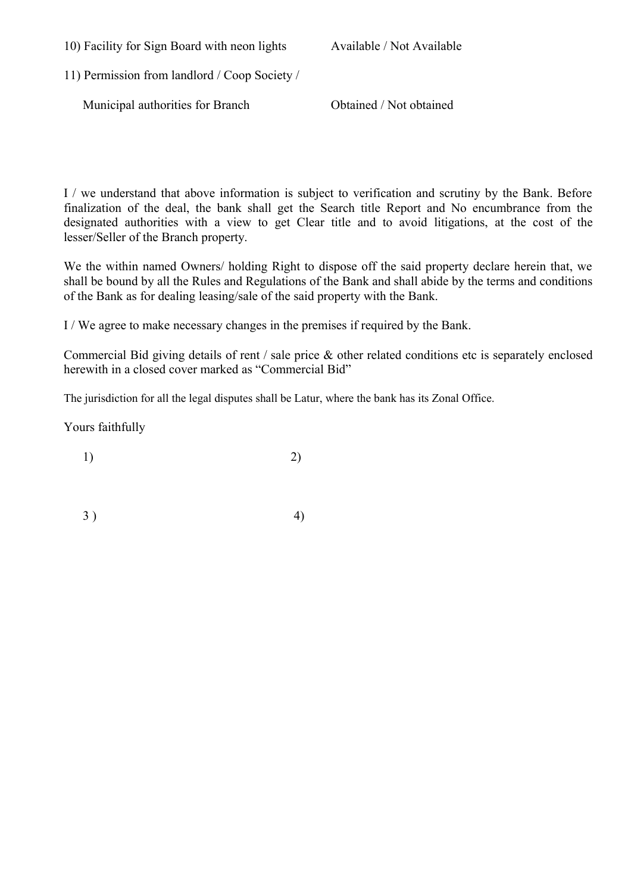10) Facility for Sign Board with neon lights Available / Not Available

11) Permission from landlord / Coop Society /

Municipal authorities for Branch Obtained / Not obtained

I / we understand that above information is subject to verification and scrutiny by the Bank. Before finalization of the deal, the bank shall get the Search title Report and No encumbrance from the designated authorities with a view to get Clear title and to avoid litigations, at the cost of the lesser/Seller of the Branch property.

We the within named Owners/ holding Right to dispose off the said property declare herein that, we shall be bound by all the Rules and Regulations of the Bank and shall abide by the terms and conditions of the Bank as for dealing leasing/sale of the said property with the Bank.

I / We agree to make necessary changes in the premises if required by the Bank.

Commercial Bid giving details of rent / sale price & other related conditions etc is separately enclosed herewith in a closed cover marked as "Commercial Bid"

The jurisdiction for all the legal disputes shall be Latur, where the bank has its Zonal Office.

Yours faithfully

1) 2)

 $3)$  4)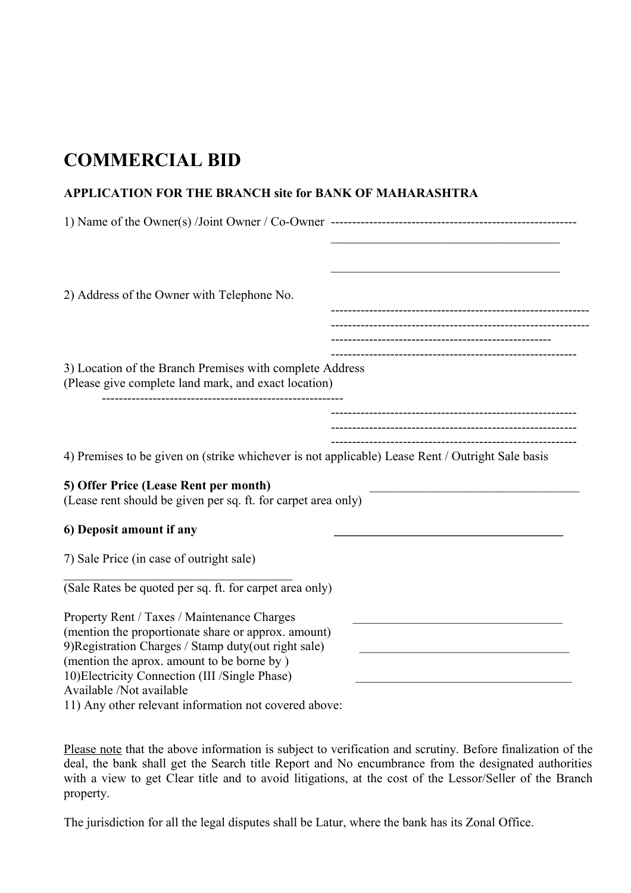# **COMMERCIAL BID**

### **APPLICATION FOR THE BRANCH site for BANK OF MAHARASHTRA**

| 2) Address of the Owner with Telephone No.                                                                       |  |
|------------------------------------------------------------------------------------------------------------------|--|
|                                                                                                                  |  |
| 3) Location of the Branch Premises with complete Address<br>(Please give complete land mark, and exact location) |  |
|                                                                                                                  |  |
| 4) Premises to be given on (strike whichever is not applicable) Lease Rent / Outright Sale basis                 |  |
| 5) Offer Price (Lease Rent per month)<br>(Lease rent should be given per sq. ft. for carpet area only)           |  |
| 6) Deposit amount if any                                                                                         |  |
| 7) Sale Price (in case of outright sale)                                                                         |  |
| (Sale Rates be quoted per sq. ft. for carpet area only)                                                          |  |
| Property Rent / Taxes / Maintenance Charges                                                                      |  |
| (mention the proportionate share or approx. amount)                                                              |  |
| 9) Registration Charges / Stamp duty(out right sale)<br>(mention the aprox. amount to be borne by)               |  |
| 10) Electricity Connection (III /Single Phase)                                                                   |  |
| Available /Not available                                                                                         |  |

11) Any other relevant information not covered above:

Please note that the above information is subject to verification and scrutiny. Before finalization of the deal, the bank shall get the Search title Report and No encumbrance from the designated authorities with a view to get Clear title and to avoid litigations, at the cost of the Lessor/Seller of the Branch property.

The jurisdiction for all the legal disputes shall be Latur, where the bank has its Zonal Office.